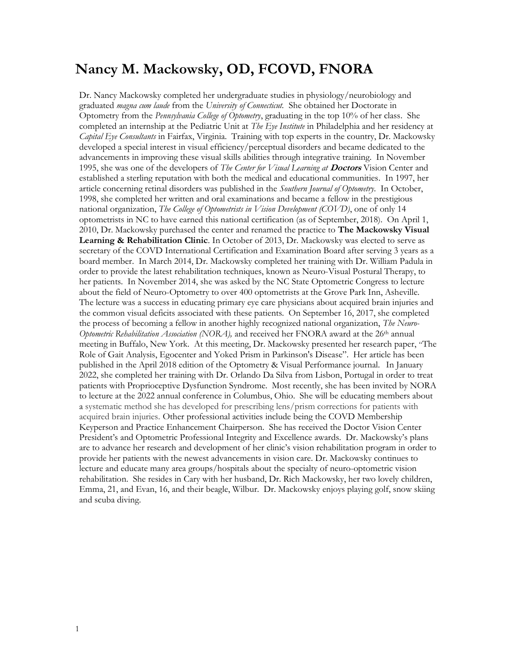# Nancy M. Mackowsky, OD, FCOVD, FNORA

Dr. Nancy Mackowsky completed her undergraduate studies in physiology/neurobiology and graduated *magna cum laude* from the University of Connecticut. She obtained her Doctorate in Optometry from the Pennsylvania College of Optometry, graduating in the top 10% of her class. She completed an internship at the Pediatric Unit at *The Eye Institute* in Philadelphia and her residency at Capital Eye Consultants in Fairfax, Virginia. Training with top experts in the country, Dr. Mackowsky developed a special interest in visual efficiency/perceptual disorders and became dedicated to the advancements in improving these visual skills abilities through integrative training. In November 1995, she was one of the developers of *The Center for Visual Learning at Doctors* Vision Center and established a sterling reputation with both the medical and educational communities. In 1997, her article concerning retinal disorders was published in the Southern Journal of Optometry. In October, 1998, she completed her written and oral examinations and became a fellow in the prestigious national organization, *The College of Optometrists in Vision Development (COVD)*, one of only 14 optometrists in NC to have earned this national certification (as of September, 2018). On April 1, 2010, Dr. Mackowsky purchased the center and renamed the practice to The Mackowsky Visual Learning & Rehabilitation Clinic. In October of 2013, Dr. Mackowsky was elected to serve as secretary of the COVD International Certification and Examination Board after serving 3 years as a board member. In March 2014, Dr. Mackowsky completed her training with Dr. William Padula in order to provide the latest rehabilitation techniques, known as Neuro-Visual Postural Therapy, to her patients. In November 2014, she was asked by the NC State Optometric Congress to lecture about the field of Neuro-Optometry to over 400 optometrists at the Grove Park Inn, Asheville. The lecture was a success in educating primary eye care physicians about acquired brain injuries and the common visual deficits associated with these patients. On September 16, 2017, she completed the process of becoming a fellow in another highly recognized national organization, The Neuro-Optometric Rehabilitation Association (NORA), and received her FNORA award at the  $26<sup>th</sup>$  annual meeting in Buffalo, New York. At this meeting, Dr. Mackowsky presented her research paper, "The Role of Gait Analysis, Egocenter and Yoked Prism in Parkinson's Disease". Her article has been published in the April 2018 edition of the Optometry & Visual Performance journal. In January 2022, she completed her training with Dr. Orlando Da Silva from Lisbon, Portugal in order to treat patients with Proprioceptive Dysfunction Syndrome. Most recently, she has been invited by NORA to lecture at the 2022 annual conference in Columbus, Ohio. She will be educating members about a systematic method she has developed for prescribing lens/prism corrections for patients with acquired brain injuries. Other professional activities include being the COVD Membership Keyperson and Practice Enhancement Chairperson. She has received the Doctor Vision Center President's and Optometric Professional Integrity and Excellence awards. Dr. Mackowsky's plans are to advance her research and development of her clinic's vision rehabilitation program in order to provide her patients with the newest advancements in vision care. Dr. Mackowsky continues to lecture and educate many area groups/hospitals about the specialty of neuro-optometric vision rehabilitation. She resides in Cary with her husband, Dr. Rich Mackowsky, her two lovely children, Emma, 21, and Evan, 16, and their beagle, Wilbur. Dr. Mackowsky enjoys playing golf, snow skiing and scuba diving.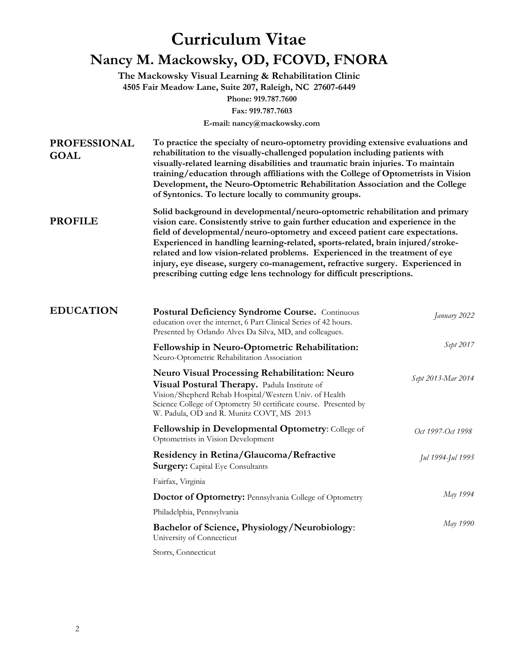# Curriculum Vitae Nancy M. Mackowsky, OD, FCOVD, FNORA

The Mackowsky Visual Learning & Rehabilitation Clinic 4505 Fair Meadow Lane, Suite 207, Raleigh, NC 27607-6449 Phone: 919.787.7600 Fax: 919.787.7603

E-mail: nancy@mackowsky.com

| <b>PROFESSIONAL</b><br><b>GOAL</b> | To practice the specialty of neuro-optometry providing extensive evaluations and<br>rehabilitation to the visually-challenged population including patients with<br>visually-related learning disabilities and traumatic brain injuries. To maintain<br>training/education through affiliations with the College of Optometrists in Vision<br>Development, the Neuro-Optometric Rehabilitation Association and the College<br>of Syntonics. To lecture locally to community groups.<br>Solid background in developmental/neuro-optometric rehabilitation and primary<br>vision care. Consistently strive to gain further education and experience in the<br>field of developmental/neuro-optometry and exceed patient care expectations.<br>Experienced in handling learning-related, sports-related, brain injured/stroke-<br>related and low vision-related problems. Experienced in the treatment of eye<br>injury, eye disease, surgery co-management, refractive surgery. Experienced in<br>prescribing cutting edge lens technology for difficult prescriptions. |                    |  |
|------------------------------------|------------------------------------------------------------------------------------------------------------------------------------------------------------------------------------------------------------------------------------------------------------------------------------------------------------------------------------------------------------------------------------------------------------------------------------------------------------------------------------------------------------------------------------------------------------------------------------------------------------------------------------------------------------------------------------------------------------------------------------------------------------------------------------------------------------------------------------------------------------------------------------------------------------------------------------------------------------------------------------------------------------------------------------------------------------------------|--------------------|--|
| <b>PROFILE</b>                     |                                                                                                                                                                                                                                                                                                                                                                                                                                                                                                                                                                                                                                                                                                                                                                                                                                                                                                                                                                                                                                                                        |                    |  |
| <b>EDUCATION</b>                   | <b>Postural Deficiency Syndrome Course.</b> Continuous<br>education over the internet, 6 Part Clinical Series of 42 hours.<br>Presented by Orlando Alves Da Silva, MD, and colleagues.                                                                                                                                                                                                                                                                                                                                                                                                                                                                                                                                                                                                                                                                                                                                                                                                                                                                                 | January 2022       |  |
|                                    | Fellowship in Neuro-Optometric Rehabilitation:<br>Neuro-Optometric Rehabilitation Association                                                                                                                                                                                                                                                                                                                                                                                                                                                                                                                                                                                                                                                                                                                                                                                                                                                                                                                                                                          | Sept 2017          |  |
|                                    | <b>Neuro Visual Processing Rehabilitation: Neuro</b><br>Visual Postural Therapy. Padula Institute of<br>Vision/Shepherd Rehab Hospital/Western Univ. of Health<br>Science College of Optometry 50 certificate course. Presented by<br>W. Padula, OD and R. Munitz COVT, MS 2013                                                                                                                                                                                                                                                                                                                                                                                                                                                                                                                                                                                                                                                                                                                                                                                        | Sept 2013-Mar 2014 |  |
|                                    | <b>Fellowship in Developmental Optometry:</b> College of<br>Optometrists in Vision Development                                                                                                                                                                                                                                                                                                                                                                                                                                                                                                                                                                                                                                                                                                                                                                                                                                                                                                                                                                         | Oct 1997-Oct 1998  |  |
|                                    | Residency in Retina/Glaucoma/Refractive<br><b>Surgery:</b> Capital Eye Consultants                                                                                                                                                                                                                                                                                                                                                                                                                                                                                                                                                                                                                                                                                                                                                                                                                                                                                                                                                                                     | Jul 1994-Jul 1995  |  |
|                                    | Fairfax, Virginia                                                                                                                                                                                                                                                                                                                                                                                                                                                                                                                                                                                                                                                                                                                                                                                                                                                                                                                                                                                                                                                      |                    |  |
|                                    | Doctor of Optometry: Pennsylvania College of Optometry                                                                                                                                                                                                                                                                                                                                                                                                                                                                                                                                                                                                                                                                                                                                                                                                                                                                                                                                                                                                                 | May 1994           |  |
|                                    | Philadelphia, Pennsylvania                                                                                                                                                                                                                                                                                                                                                                                                                                                                                                                                                                                                                                                                                                                                                                                                                                                                                                                                                                                                                                             |                    |  |
|                                    | <b>Bachelor of Science, Physiology/Neurobiology:</b><br>University of Connecticut                                                                                                                                                                                                                                                                                                                                                                                                                                                                                                                                                                                                                                                                                                                                                                                                                                                                                                                                                                                      | May 1990           |  |
|                                    | Storrs, Connecticut                                                                                                                                                                                                                                                                                                                                                                                                                                                                                                                                                                                                                                                                                                                                                                                                                                                                                                                                                                                                                                                    |                    |  |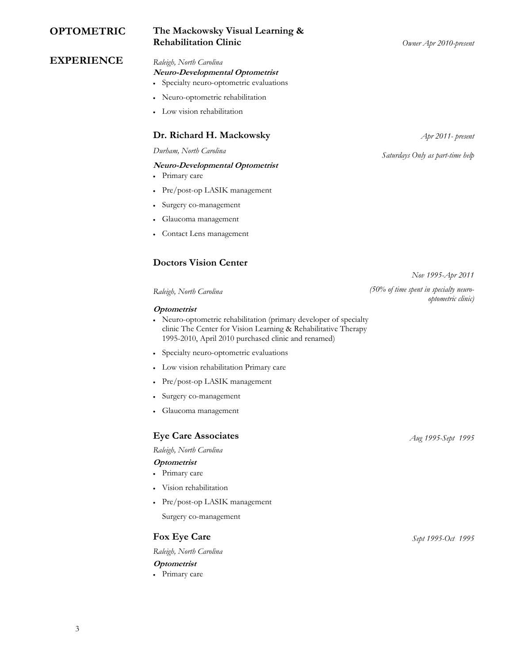## OPTOMETRIC The Mackowsky Visual Learning & Rehabilitation Clinic Company Company Company Company Company Company Company Company Company Company Company Company Company Company Company Company Company Company Company Company Company Company Company Company Company

## EXPERIENCE Raleigh, North Carolina

# Neuro-Developmental Optometrist

- Specialty neuro-optometric evaluations
- Neuro-optometric rehabilitation
- Low vision rehabilitation

### Dr. Richard H. Mackowsky  $\Delta pr 2011$ - present

### Neuro-Developmental Optometrist

- Primary care
- Pre/post-op LASIK management
- Surgery co-management
- Glaucoma management
- Contact Lens management

## Doctors Vision Center

### **Optometrist**

- Neuro-optometric rehabilitation (primary developer of specialty clinic The Center for Vision Learning & Rehabilitative Therapy 1995-2010, April 2010 purchased clinic and renamed)
- Specialty neuro-optometric evaluations
- Low vision rehabilitation Primary care
- Pre/post-op LASIK management
- Surgery co-management
- Glaucoma management

# Eye Care Associates Aug 1995-Sept 1995

Raleigh, North Carolina

### **Optometrist**

- Primary care
- Vision rehabilitation
- Pre/post-op LASIK management

Surgery co-management

### Fox Eye Care  $S$ ept 1995-Oct 1995

Raleigh, North Carolina

### **Optometrist**

Primary care

Durham, North Carolina Saturdays Only as part-time help

Nov 1995-Apr 2011

Raleigh, North Carolina (50% of time spent in specialty neurooptometric clinic)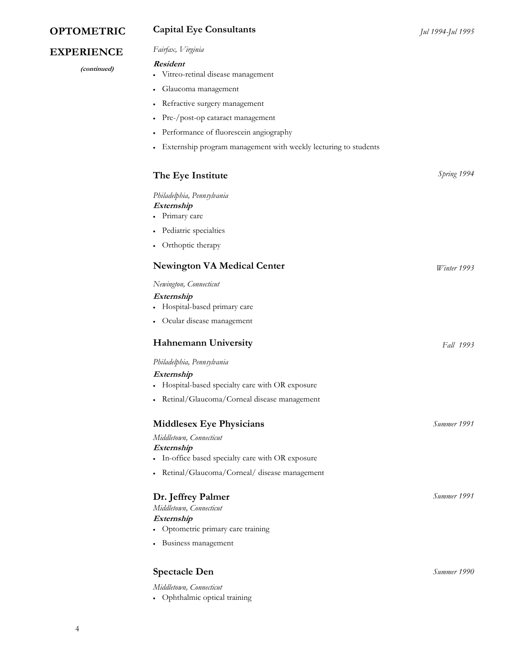# **OPTOMETRIC** Capital Eye Consultants Jul 1994-Jul 1995

# EXPERIENCE *Fairfax*, Virginia

(continued)

### Resident

- Vitreo-retinal disease management
- Glaucoma management
- Refractive surgery management
- Pre-/post-op cataract management
- Performance of fluorescein angiography
- Externship program management with weekly lecturing to students

| The Eye Institute                                          | Spring 1994 |
|------------------------------------------------------------|-------------|
| Philadelphia, Pennsylvania<br>Externship<br>• Primary care |             |
| Pediatric specialties<br>$\bullet$                         |             |
| Orthoptic therapy                                          |             |
| <b>Newington VA Medical Center</b>                         | Winter 1993 |
| Newington, Connecticut                                     |             |
| Externship                                                 |             |
| • Hospital-based primary care                              |             |
| Ocular disease management<br>$\bullet$                     |             |
| <b>Hahnemann University</b>                                | Fall 1993   |
| Philadelphia, Pennsylvania                                 |             |
| Externship                                                 |             |
| • Hospital-based specialty care with OR exposure           |             |
| • Retinal/Glaucoma/Corneal disease management              |             |
| <b>Middlesex Eye Physicians</b>                            | Summer 1991 |
| Middletown, Connecticut                                    |             |
| Externship                                                 |             |
| • In-office based specialty care with OR exposure          |             |
| • Retinal/Glaucoma/Corneal/ disease management             |             |
| Dr. Jeffrey Palmer                                         | Summer 1991 |
| Middletown, Connecticut                                    |             |
| Externship                                                 |             |
| • Optometric primary care training                         |             |
| • Business management                                      |             |
| <b>Spectacle Den</b>                                       | Summer 1990 |
|                                                            |             |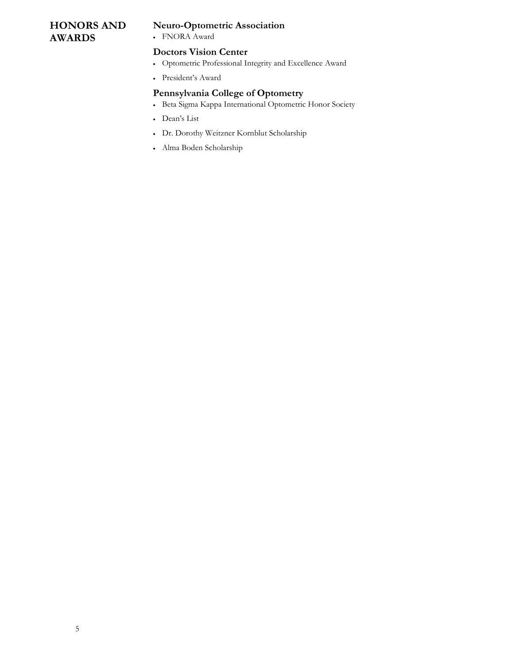# HONORS AND AWARDS

# Neuro-Optometric Association

FNORA Award

### Doctors Vision Center

- Optometric Professional Integrity and Excellence Award
- President's Award

# Pennsylvania College of Optometry

- Beta Sigma Kappa International Optometric Honor Society
- Dean's List
- Dr. Dorothy Weitzner Kornblut Scholarship
- Alma Boden Scholarship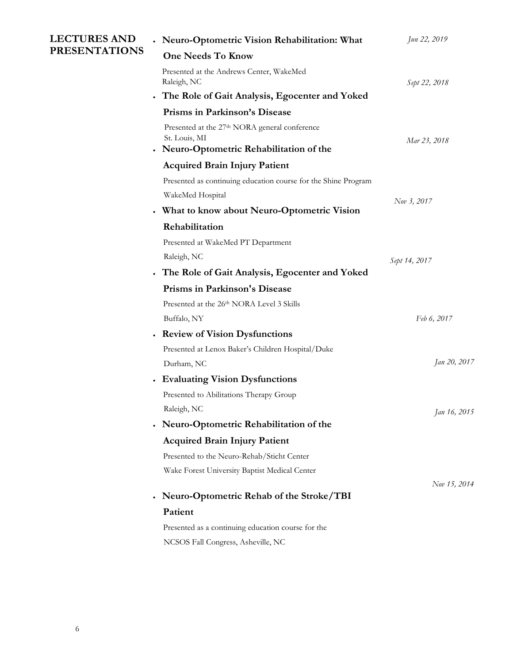| <b>LECTURES AND</b><br><b>PRESENTATIONS</b> | • Neuro-Optometric Vision Rehabilitation: What                                                                         | Jun 22, 2019  |
|---------------------------------------------|------------------------------------------------------------------------------------------------------------------------|---------------|
|                                             | <b>One Needs To Know</b>                                                                                               |               |
|                                             | Presented at the Andrews Center, WakeMed<br>Raleigh, NC                                                                | Sept 22, 2018 |
|                                             | · The Role of Gait Analysis, Egocenter and Yoked                                                                       |               |
|                                             | Prisms in Parkinson's Disease                                                                                          |               |
|                                             | Presented at the 27 <sup>th</sup> NORA general conference<br>St. Louis, MI<br>• Neuro-Optometric Rehabilitation of the | Mar 23, 2018  |
|                                             | <b>Acquired Brain Injury Patient</b>                                                                                   |               |
|                                             | Presented as continuing education course for the Shine Program                                                         |               |
|                                             | WakeMed Hospital                                                                                                       |               |
|                                             | • What to know about Neuro-Optometric Vision                                                                           | Nov 3, 2017   |
|                                             | Rehabilitation                                                                                                         |               |
|                                             | Presented at WakeMed PT Department                                                                                     |               |
|                                             | Raleigh, NC                                                                                                            | Sept 14, 2017 |
|                                             | The Role of Gait Analysis, Egocenter and Yoked                                                                         |               |
|                                             | Prisms in Parkinson's Disease                                                                                          |               |
|                                             | Presented at the 26th NORA Level 3 Skills                                                                              |               |
|                                             | Buffalo, NY                                                                                                            | Feb 6, 2017   |
|                                             | • Review of Vision Dysfunctions                                                                                        |               |
|                                             | Presented at Lenox Baker's Children Hospital/Duke                                                                      |               |
|                                             | Durham, NC                                                                                                             | Jan 20, 2017  |
|                                             | • Evaluating Vision Dysfunctions                                                                                       |               |
|                                             | Presented to Abilitations Therapy Group                                                                                |               |
|                                             | Raleigh, NC                                                                                                            | Jan 16, 2015  |
|                                             | • Neuro-Optometric Rehabilitation of the                                                                               |               |
|                                             | <b>Acquired Brain Injury Patient</b>                                                                                   |               |
|                                             | Presented to the Neuro-Rehab/Sticht Center                                                                             |               |
|                                             | Wake Forest University Baptist Medical Center                                                                          |               |
|                                             |                                                                                                                        | Nov 15, 2014  |
|                                             | Neuro-Optometric Rehab of the Stroke/TBI                                                                               |               |
|                                             | Patient                                                                                                                |               |
|                                             | Presented as a continuing education course for the                                                                     |               |
|                                             | NCSOS Fall Congress, Asheville, NC                                                                                     |               |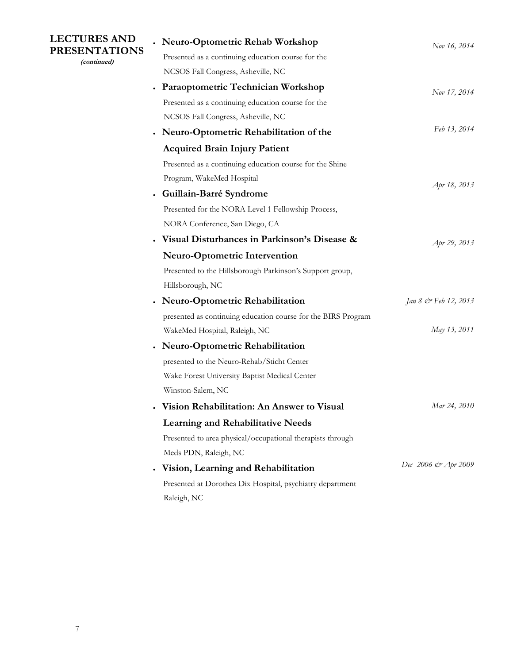| <b>LECTURES AND</b><br><b>PRESENTATIONS</b><br>(continued) | • Neuro-Optometric Rehab Workshop                             | Nov 16, 2014         |
|------------------------------------------------------------|---------------------------------------------------------------|----------------------|
|                                                            | Presented as a continuing education course for the            |                      |
|                                                            | NCSOS Fall Congress, Asheville, NC                            |                      |
|                                                            | <b>Paraoptometric Technician Workshop</b>                     | Nov 17, 2014         |
|                                                            | Presented as a continuing education course for the            |                      |
|                                                            | NCSOS Fall Congress, Asheville, NC                            |                      |
|                                                            | Neuro-Optometric Rehabilitation of the                        | Feb 13, 2014         |
|                                                            | <b>Acquired Brain Injury Patient</b>                          |                      |
|                                                            | Presented as a continuing education course for the Shine      |                      |
|                                                            | Program, WakeMed Hospital                                     | Apr 18, 2013         |
|                                                            | Guillain-Barré Syndrome                                       |                      |
|                                                            | Presented for the NORA Level 1 Fellowship Process,            |                      |
|                                                            | NORA Conference, San Diego, CA                                |                      |
|                                                            | Visual Disturbances in Parkinson's Disease &                  | Apr 29, 2013         |
|                                                            | <b>Neuro-Optometric Intervention</b>                          |                      |
|                                                            | Presented to the Hillsborough Parkinson's Support group,      |                      |
|                                                            | Hillsborough, NC                                              |                      |
|                                                            | <b>Neuro-Optometric Rehabilitation</b>                        | Jan 8 & Feb 12, 2013 |
|                                                            | presented as continuing education course for the BIRS Program |                      |
|                                                            | WakeMed Hospital, Raleigh, NC                                 | May 13, 2011         |
|                                                            | <b>Neuro-Optometric Rehabilitation</b>                        |                      |
|                                                            | presented to the Neuro-Rehab/Sticht Center                    |                      |
|                                                            | Wake Forest University Baptist Medical Center                 |                      |
|                                                            | Winston-Salem, NC                                             |                      |
|                                                            | Vision Rehabilitation: An Answer to Visual                    | Mar 24, 2010         |
|                                                            | <b>Learning and Rehabilitative Needs</b>                      |                      |
|                                                            | Presented to area physical/occupational therapists through    |                      |
|                                                            | Meds PDN, Raleigh, NC                                         |                      |
|                                                            | Vision, Learning and Rehabilitation                           | Dec 2006 & Apr 2009  |
|                                                            | Presented at Dorothea Dix Hospital, psychiatry department     |                      |
|                                                            | Raleigh, NC                                                   |                      |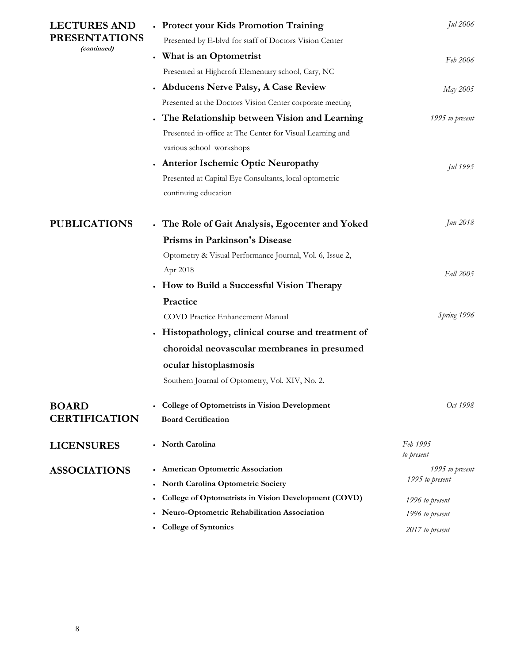| <b>LECTURES AND</b><br><b>PRESENTATIONS</b><br>(continued) | • Protect your Kids Promotion Training                    | Jul 2006               |
|------------------------------------------------------------|-----------------------------------------------------------|------------------------|
|                                                            | Presented by E-blvd for staff of Doctors Vision Center    |                        |
|                                                            | • What is an Optometrist                                  | Feb 2006               |
|                                                            | Presented at Highcroft Elementary school, Cary, NC        |                        |
|                                                            | • Abducens Nerve Palsy, A Case Review                     | May 2005               |
|                                                            | Presented at the Doctors Vision Center corporate meeting  |                        |
|                                                            | . The Relationship between Vision and Learning            | 1995 to present        |
|                                                            | Presented in-office at The Center for Visual Learning and |                        |
|                                                            | various school workshops                                  |                        |
|                                                            | • Anterior Ischemic Optic Neuropathy                      | Jul 1995               |
|                                                            | Presented at Capital Eye Consultants, local optometric    |                        |
|                                                            | continuing education                                      |                        |
| <b>PUBLICATIONS</b>                                        | . The Role of Gait Analysis, Egocenter and Yoked          | Jun 2018               |
|                                                            | Prisms in Parkinson's Disease                             |                        |
|                                                            | Optometry & Visual Performance Journal, Vol. 6, Issue 2,  |                        |
|                                                            | Apr 2018                                                  | Fall 2005              |
|                                                            | • How to Build a Successful Vision Therapy                |                        |
|                                                            | Practice                                                  |                        |
|                                                            | COVD Practice Enhancement Manual                          | Spring 1996            |
|                                                            | • Histopathology, clinical course and treatment of        |                        |
|                                                            | choroidal neovascular membranes in presumed               |                        |
|                                                            | ocular histoplasmosis                                     |                        |
|                                                            | Southern Journal of Optometry, Vol. XIV, No. 2.           |                        |
| <b>BOARD</b>                                               | <b>College of Optometrists in Vision Development</b>      | Oct 1998               |
| <b>CERTIFICATION</b>                                       | <b>Board Certification</b>                                |                        |
| <b>LICENSURES</b>                                          | • North Carolina                                          | Feb 1995<br>to present |
| <b>ASSOCIATIONS</b>                                        | • American Optometric Association                         | 1995 to present        |
|                                                            | North Carolina Optometric Society                         | 1995 to present        |
|                                                            | College of Optometrists in Vision Development (COVD)      | 1996 to present        |
|                                                            | Neuro-Optometric Rehabilitation Association               | 1996 to present        |
|                                                            | <b>College of Syntonics</b>                               | 2017 to present        |